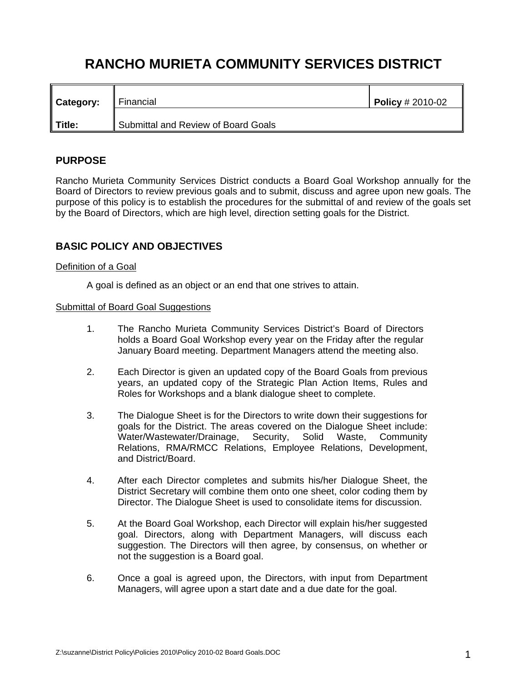# **RANCHO MURIETA COMMUNITY SERVICES DISTRICT**

| Category: | Financial                           | <b>Policy</b> # 2010-02 |
|-----------|-------------------------------------|-------------------------|
| Title:    | Submittal and Review of Board Goals |                         |

## **PURPOSE**

Rancho Murieta Community Services District conducts a Board Goal Workshop annually for the Board of Directors to review previous goals and to submit, discuss and agree upon new goals. The purpose of this policy is to establish the procedures for the submittal of and review of the goals set by the Board of Directors, which are high level, direction setting goals for the District.

## **BASIC POLICY AND OBJECTIVES**

### Definition of a Goal

A goal is defined as an object or an end that one strives to attain.

#### Submittal of Board Goal Suggestions

- 1. The Rancho Murieta Community Services District's Board of Directors holds a Board Goal Workshop every year on the Friday after the regular January Board meeting. Department Managers attend the meeting also.
- 2. Each Director is given an updated copy of the Board Goals from previous years, an updated copy of the Strategic Plan Action Items, Rules and Roles for Workshops and a blank dialogue sheet to complete.
- 3. The Dialogue Sheet is for the Directors to write down their suggestions for goals for the District. The areas covered on the Dialogue Sheet include: Water/Wastewater/Drainage, Security, Solid Waste, Community Relations, RMA/RMCC Relations, Employee Relations, Development, and District/Board.
- 4. After each Director completes and submits his/her Dialogue Sheet, the District Secretary will combine them onto one sheet, color coding them by Director. The Dialogue Sheet is used to consolidate items for discussion.
- 5. At the Board Goal Workshop, each Director will explain his/her suggested goal. Directors, along with Department Managers, will discuss each suggestion. The Directors will then agree, by consensus, on whether or not the suggestion is a Board goal.
- 6. Once a goal is agreed upon, the Directors, with input from Department Managers, will agree upon a start date and a due date for the goal.